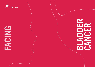

# EACIES<sup></sup>

BLADER<br>BLAD **BLADER**<br>CANCER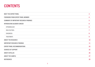## **CONTENTS**

| <b>MEET THE EXPERT PANEL</b>             | 3              |
|------------------------------------------|----------------|
| <b>FOREWORD FROM EXPERT PANEL MEMBER</b> | 4              |
| SUMMARY OF IMPORTANT RESEARCH FINDINGS   | 5              |
| <b>INTRODUCING BLADDER CANCER</b>        | $6\phantom{1}$ |
| EPIDEMIOLOGY:                            | $6\phantom{1}$ |
| <b>RISK FACTORS:</b>                     | 7              |
| <b>DIAGNOSIS:</b>                        | 8              |
| <b>TREATMENT:</b>                        | 9              |
| <b>ABOUT THE RESEARCH</b>                | <b>10</b>      |
| <b>IMPORTANT RESEARCH FINDINGS</b>       | 11             |
| <b>EXPERT PANEL RECOMMENDATIONS</b>      | 24             |
| <b>SOURCES OF SUPPORT</b>                | 25             |
| <b>ABOUT ASTELLAS</b>                    | 26             |
| <b>ABOUT THE SAMPLE</b>                  | 27             |
| <b>REFERENCES</b>                        | 29             |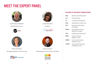## <span id="page-2-0"></span>MEET THE EXPERT PANEL



SUSAN MULLERWORTH Fight Bladder Cancer





ANITA EIK ROALD Norwegian Bladder Cancer Society





LAURA MAGENTA PaLiNUro

PaLiNUro



ALEX FILICEVAS World Bladder Cancer Patient Coalition



#### GLOSSARY OF IMPORTANT ABBREVIATIONS

| <b>BCG</b>   | Bacillus Calmette-Guerin                        |
|--------------|-------------------------------------------------|
| ChT          | chemotherapy                                    |
| CT           | computed tomography                             |
| <b>DNA</b>   | deoxyribose nucleic acid                        |
| EAU          | European Association<br>of Urology              |
| <b>ESMO</b>  | European Society for<br><b>Medical Oncology</b> |
| <b>HCP</b>   | healthcare professional                         |
| <b>MIBC</b>  | muscle-invasive<br>bladder cancer               |
| <b>NMIBC</b> | non-muscle invasive<br>bladder cancer           |
| <b>TURBT</b> | transurethral resection<br>of bladder tumour    |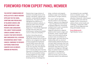## <span id="page-3-0"></span>FOREWORD FROM EXPERT PANEL MEMBER

THIS REPORT COMMISSIONED BY ASTELLAS PUTS A MUCH-NEEDED SPOTLIGHT ON THE SIGNS, SYMPTOMS AND PREVALENCE OF BLADDER CANCER, AND MORE IMPORTANTLY HOW PATIENTS AND CAREGIVERS FEEL ABOUT THEIR BLADDER CANCER JOURNEY. WHAT IS CLEAR IS THAT BOTH PATIENTS AND CAREGIVERS FEEL A DISEASE DISADVANTAGE ABOUT THEIR CANCER, COMPARED TO PATIENTS SUFFERING FROM OTHER CANCERS SUCH AS BREAST, OVARIAN OR PROSTATE.

Patients feel a huge mixture of emotions including shame at the disease, self-blame, anguish and injustice, confounded by negative experiences. The report has also highlighted the difference in experiences between patients, in particular older versus younger patients: the average age at diagnosis is 73 but those diagnosed younger than this often feel embarrassed, feeling that bladder cancer is dirty and unhealthy.<sup>1,2</sup>

Another interesting element highlighted is the mental health impact this disease has not only on patients, but caregivers too. Many of those questioned mentioned mental health issues after their diagnosis with some even going so far as to say that "the physical part is easier than the mental part". It would sadly seem that the experience of bladder cancer starts off on the worst possible footing – it being negative for every single person interviewed, with heartbreaking stories of misdiagnosis,

delay, confusion and anguish, leading to anger and frustration particularly in younger patients.

The report rightly highlights that the system is not matching patients' urgency to be diagnosed – seen through first-hand stories of delayed diagnosis, presenting multiple times in pain, sometimes in emergency rooms. The diagnosis experience is against patients which leads to anger and frustration, stress, mental health impact and some patients giving up due to lack of confidence to present again. And what about the relationships with our doctors? Unfortunately patients feel they've not been taken seriously; their own knowledge of their bodies has been dismissed; they have had a cruel experience of diagnosis. Although there are patient stories of positive HCP support, the diagnosis experience is a hard act from which to recover, and one which absolutely needs to be addressed.

I am pleased to see a spotlight shone on bladder cancer – this community is now getting the attention it deserves. I look forward to continuing to work with the bladder cancer community to address these unmet needs and challenges, making life a little easier for those diagnosed and living with bladder cancer.

Susan Mullerworth Fight Bladder Cancer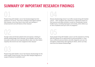## <span id="page-4-0"></span>SUMMARY OF IMPORTANT RESEARCH FINDINGS

### People living with bladder cancer feel disadvantaged by their experience of cancer. They have a feeling of self-stigma towards their disease, since they have to face their own feelings of embarrassment and self-blame at their disease<sup>2</sup>

Younger male and female patients feel and express a feeling of disease disadvantage more intensely, since bladder cancer has a low public profile and more typically affects older men (the hidden majority) who tend to be more resigned to their disease<sup>2</sup> 02 05

People living with bladder cancer feel disease disadvantage for the entire length of their journey, from the often-delayed diagnosis to surgical treatment to palliative care<sup>2</sup>

Disease disadvantage doesn't just affect people living with bladder cancer – their caregivers also experience a significant impact on their persona and daily activities, as well as considerable mental health issues, including depression and anxiety, which affects up to  $16\%$  of patients and up to 23% of caregivers<sup>2</sup>

Some people living with bladder cancer use the experience of living with this disease as an opportunity for personal growth i.e. they have a different persona before and after diagnosis and use it to strengthen relationships with significant others, which can help overcome the disease disadvantage<sup>2</sup>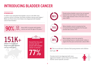## <span id="page-5-0"></span>INTRODUCING BLADDER CANCER

#### EPIDEMIOLOGY:

In 2020 it was estimated that bladder cancer is the fifth most common cancer in Europe, but these numbers may be even higher.<sup>3</sup> Males are three-times more likely to be diagnosed with bladder cancer than females.4



People whose bladder cancer has not spread beyond the inner layer of the bladder wall (early stage disease) have a five-year survival rate of 96%1



cancer are over the age of 55 years. $^1$ 



Where bladder cancer is invasive but has not spread beyond the bladder the five-year survival rate is about 70%1

151K+

people in Europe are diagnosed with bladder cancer each year<sup>5</sup>

Overall the five-year survival rate for people with bladder cancer is around

1 77%



When bladder cancer has spread to surrounding tissues or nearby lymph nodes or organs the five-year survival rate is about 38%1

**11** This is an old man's disease that young women and children don't get. 77

Females tend to be diagnosed with more aggressive bladder cancers than men and show shorter cancer-specific survival.<sup>6</sup>

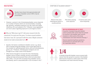#### <span id="page-6-0"></span>RISK FACTORS:



Studies have shown that approximately half 49% the cases of bladder cancer (49%) may be preventable.<sup>6</sup>

 $\blacktriangleright$  However, a person's risk of developing bladder cancer depends on a number of factors which are not preventable, including age, genetics, workplace exposure (e.g. dye, paint and rubber industries; 6%) and radiation (2%).<sup>6</sup> However, many legislations are now in place regarding exposure to carcinogens at work.7

**44** Why me? Why have I got it? I did some research into the chemicals I've used over the years. I've been around aviation fuel since I was 18. I pursued it with the union. Maybe someone needs to be made answerable for it.

- $\blacktriangleright$  Genetic risk factors contribute to bladder cancer: e.g. about 50% of people living with bladder cancer show high levels of the receptor for epithelial growth factor; p53 and retinoblastoma genes, etc.8,9 However, inherited gene mutations are not thought to be a major cause of the disease.10
- $\triangleright$  Other factors thought to increase the risk of developing bladder cancer include: smoking, alcohol consumption, eating red meat and processed meat, which are associated with a 45%, 17% and 10% increased risk of bladder cancer, and obesity, which is associated with a  $10\%$  increase in risk.<sup>11</sup>

#### SYMPTOMS OF BLADDER CANCER<sup>12,13</sup>





#### ARE YOU EXPERIENCING ANY OF THESE?

A quarter of people living with bladder cancer present with cancer that has spread to muscles in the bladder wall (muscleinvasive) or other parts of the body (metastases) and need intensive therapy. $14$ 

Anyone experiencing these symptoms should book in to see their GP or ask for a specialist referral



of people living with bladder cancer present with cancer that has spread to muscles in the bladder wall (muscle-invasive) or other parts of the body (metastases) and need intensive therapy.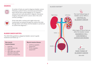A number of tests are used to diagnose bladder cancer. Following a patient history and physical examination, tests may be done using imaging e.g. CT urogram, ultrasound and multi-parametric magnetic resonance imaging, along with test for cancer cells in the urine (urinary cytology).15



A thin tube with a camera and a light at the end (cystoscope) are passed through the urethra (the tube through which urine flows) into the bladder is carried out to confirm the diagnosis.<sup>16</sup>

#### BLADDER CANCER SUBTYPES:

The 2022 EAU guidelines categorise bladder cancer to guide treatment and follow-up: 13,17

#### Non-muscle invasive disease:

- $\blacktriangleright$  Low risk
- $\blacktriangleright$  Intermediate risk
- $\blacktriangleright$  high risk
- $\blacktriangleright$  Very high risk or BCG (Bacillus Calmette-Guerin) unresponsive

#### Muscle-invasive disease:

- $\blacktriangleright$  Unfit for cisplatinbased ChT
- $\blacktriangleright$  Fit for cisplatinbased ChT

## <span id="page-7-0"></span>**DIAGNOSIS:** BLADDER ANATOMY<sup>13</sup>



also exist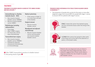#### <span id="page-8-0"></span>TREATMENT:

#### TREATMENT OF BLADDER CANCER IS GUIDED BY TYPE (NMIBC OR MIBC) AND RISK CATEGORY. 18

#### Immunotherapy (i.e. Bacillus Calmette-Guerin – BCG)

- $\blacktriangleright$  Non-muscle invasive bladder cancer (NMIBC)
- $\blacktriangleright$  Muscle-invasive bladder cancer (MIBC)

#### Radiotherapy (including radiosensitiser)

- Early stage
- After TURBT surgery
- For those who cannot have chemotherapy

#### Transurethral laser surgery

- $\blacktriangleright$  Non-muscle invasive bladder cancer (NMIBC)
- $\blacktriangleright$  Followed by adjuvant intravesical chemotherapy or immunotherapy

 After TURBT [transurethral resection of a bladder tumour] it's like peeing shards of glass **77** 

#### Radical cystectomy

 $\blacktriangleright$  If the cancer is larger or is in more than one part of the bladder

#### Surgical removal

 $\blacktriangleright$  Muscle invasive bladder cancer

#### Neoadjuvant and adjuvant chemotherapy

Muscle invasive bladder cancer and low-grade non-muscle invasive bladder cancer

#### PROGNOSIS VARIES DEPENDING IN THE STAGE AT WHICH BLADDER CANCER IS DIAGNOSED:19,20

 $\blacktriangleright$  The proportion of people who survive for five years or more after diagnosis ranges from around 80% for people with stage 1 cancer to around 10% for patients with stage 4 cancer.



STAGE 1 means the cancer has started to grow into the connective tissue under the lining of the bladder.



At STAGE 4 the cancer has spread to other parts of the body such as the wall of the abdomen or pelvis, or the lymph nodes.



Patients who are diagnosed early are likely to live longer than those diagnosed later. Some evidence suggests that a three-month delay in diagnosis doubles the risk of death for people with bladder cancer.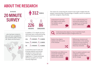## <span id="page-9-0"></span>ABOUT THE RESEARCH





...who had been invited to take part was completed in five countries (USA, France, UK, Spain and Germany).\*





In addition, 21 in-depth one-hour interviews were conducted during with the following participants:

USA:  $\&$  4 PATIENTS  $\&$  3 CARERS France:  $\hat{\mathbb{S}}$  3 PATIENTS  $\hat{\mathbb{S}}$  3 CARERS UK:  $\bigotimes$  4 PATIENTS  $\bigotimes$  4 CARERS

In total there were 5 male and 6 female patients and among caregivers 3 were male and 7 female. The patients were diagnosed 2–4 years previously with the exception of 1 more recently diagnosed.

The reason for conducting the research was to gain insights that will deepen understanding of disadvantage in bladder cancer for patients and their caregivers. Specifically:

Understand if and how this stigma exists within the bladder cancer community

Is our understanding of it mirrored by patients and caregivers or do they talk about it differently?

Understand what stigma is, how it manifests itself, and what different types of stigma there are

Explore how stigma evolves over the course of the disease

Differences, tensions and opportunities in the varying experiences and emotions of patients and families, at these key moments

Similarities and differences across the markets and patient types, where statistically available رگ

Start to explore patients' and caregivers' solutions to stigma and their wish list for change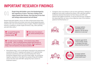## <span id="page-10-0"></span>IMPORTANT RESEARCH FINDINGS

People living with bladder cancer feel disadvantaged by their experience of cancer. They have a feeling of selfstigma towards their disease, since they have to face their own feelings embarrassment and self-blame2

People living with bladder cancer are often embarrassed about their disease; they feel dirty and unclean and some dread appearing weak – mainly in the case of incontinence due to surgery. Patients experience trauma in needing to urinate maybe 30 times a day, often painfully and with little notice.<sup>2</sup>

 $\blacksquare$  I see myself through the eyes of others and I am eyes of others and I am somehow smaller. somehow smaller.

 She's more of an enemy She's more of an enemy to to bliv sinore of all energy to herself, almost punishing herself<br>**Hall** 

 $\blacksquare$  I've made excuses in meetings – oh I've had too many coffees this morning! – when I'm pitching business people make decisions on prejudices, so I have to keep the focus on business. There's potency in being a male and impotency from physical problems.

 $\blacktriangleright$  Internalised views, such as self-blame (reported to be experienced sometimes by 22%), impaired self-esteem (21% said they feel ashamed sometimes and 19% reported feeling their illness sometimes disgusts them) and poor body image, are among the negative experiences that affect how people living with bladder cancer live their lives with 68% saying they had a severe or moderate impact.2

Caregivers were more likely to call out more self-blame, feelings of judgement and unfair treatment by others: 30% said that patients sometimes blamed themselves for their illness and 29% said patients feel judged sometimes. It may be that because caregivers are observing they can have a more objective view of the situation patients find themselves in.2



52%

95%

of patients aged 18-39 : "I felt my family, friends or colleagues have been embarrassed by my illness"



of younger patients: "I unfortunately have mental health issues"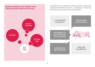



CAREGIVERS CALL OUT MORE SELF-BLAME, FEELINGS OF JUDGEMENT AND UNFAIR TREATMENT BY OTHERS – AS OBSERVERS, THEY MAY SEE MORE THAN PEOPLE LIVING WITH BLADDER CANCER2

> I don't know how to deal with it  $77$

 Oh look grandpa is wearing nappies 77

**44 As neighbours, we** used to be really close, but not any more 77

**"** If Why doesn't she give up smoking? **77** 



*K* Our sex life is very different  $\sqrt{ }$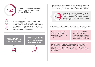

of bladder cancer is caused by smoking, but the majority occur in non-smokers with other risk factors  $6$ 



Unfortunately, partly due to smoking and other preventable risk factors, most people living with bladder cancer feel that other people blame them for their illness; this feeling extends to their significant other, for example 16% said their immediate family were embarrassed by their illness.<sup>2</sup>

Expressions of self-stigma, such as feelings of being judged and blame by friends and doctors, can emerge soon after diagnosis and increase slightly as the bladder cancer journey progresses<sup>2</sup>



of patients agreed with the statement "At times I blame myself in some way for my illness". However, these feelings were expressed more frequently by younger patients with 59% agreeing that they felt in some way to blame.<sup>2</sup>

Looking at specific dimensions of self-stigma it appears that some aspects did improve over time after diagnosis. For example:2

Those who agree they had good self-esteem increased from 60% immediately after diagnosis to 68%

For patients aged 18-39 years 59% felt positive about how their body looked immediately after diagnosis, which rose to 71% over time

People who had a cystectomy had a particularly bad experience but around three-quarters felt that now they had good selfesteem (75%) and felt positive about how their body looked (71%) compared with immediately after diagnosis (64% and 60% respectively).

**K** Smoking just seems to be a scapegoat because it's so socially unacceptable now 77



**If I** was told it was because I smoked. My doctor immediately said 'you smoke and that's why you have bladder cancer 77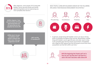

After diagnosis, some people (31%) living with bladder cancer perceive family and friends apportioning blame and not expressing any more sympathy than doctors.2



#### MOST PEOPLE LIVING WITH BLADDER CANCER SAY THE FOLLOWING INFLUENCE THEIR REDUCED INVOLVEMENT IN ACTIVITIES:2



In general, people living with bladder cancer can rely on strong levels of sympathy throughout their journey. Nevertheless, people living with bladder cancer aged 60 years and older report a drop in the sympathy they feel from those around them; immediately after diagnosis 98% agreed that they felt people around them were sympathetic but that fell to 85% over time.<sup>2</sup>



**At the beginning the friends said' we're** here for you' but they don't ask how he is and in the end it becomes radio silence  $\overline{\mathbf{y}}$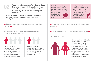02

Younger men and female patients feel and express disease disadvantage more intensely, since bladder cancer has a low public profile and more typically affects older men (the hidden majority) who tend to be more resigned to their disease $2$ 

Some younger and female patients are angry and are devastated by what's happened – this group experience more disease disadvantage.<sup>2</sup>

**11** This is an old man's disease that young women and children don't get.

A DIAGNOSIS OF BLADDER CANCER ALSO IMPACTS ON HOW PEOPLE DESCRIBE THEMSELVES:2



Around a quarter of respondents were more likely to describe themselves as lonely (25%), isolated (25%) or depressed (24%) after diagnosis compared with before they were diagnosed.



Between a quarter and a third of patients were less likely to describe themselves as fun (29%), active in my community (27%) or as an organiser (27%).

Lack of awareness (e.g. little public discourse) of bladder cancer contributes to poor understanding and people living with bladder cancer's experiences of isolation<sup>2</sup>

The typical bladder cancer patient is diagnosed at 73 years.<sup>1</sup> Although they are 'the bulk of the iceberg', they are less likely to be in public and social situations and remain relatively hidden.

**44** Now we don't go out so much, but that was already changing anyway. **77** 

**14** I don't think it's unusual. It happens frequently in older people.

#### DISEASE DISADVANTAGE



Older people living with bladder cancer are less likely than younger people to report that disease disadvantage affected how they live their lives: 75% of those aged 18–39 years compared with 44% of those over the age of 60 years saying negative experiences had a moderate or severe impact on how they lived their lives.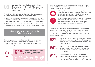

Many people living with bladder cancer feel disease disadvantage for the entire length of their journey, from the often delayed diagnosis to surgical treatment to palliative care

People living with bladder cancer often report significant diagnostic delays, which may cause avoidable disease progression:2

- $\blacktriangleright$  People with early bladder cancer are at a disadvantage from the ambiguous initial symptoms, which may be misdiagnosed as urinary tract infections or inappropriately referred (e.g. to a gynaecologist).
- $\blacktriangleright$  Delayed or missed diagnoses can undermine the 'alliance' between people living with bladder cancer and HCPs (nurses, GPs, urologists).

**KKeep going to your GP / Primary Care Provider.** You have to shout loud. **77** 

Definitive (potentially curative) treatment (e.g. radical cystectomy) can be life-altering and distressing and leave people living with bladder cancer facing potential embarrassing consequences (e.g. leaking stoma bag)



of people living with bladder cancer say bladder surgery influenced<br>
91 reduced involvement in activities

Uncertainty about recurrence can leave people living with bladder cancer and their caregivers facing anxiety, which can disadvantage their ability to take part in activities.<sup>2</sup>



53% of patients say they cannot mentally bring themselves to do activities that involve seeing colleagues socially any more compared with 38% who say they cannot physically undertake such activities.2



Some people living with bladder cancer feel that disease management tends to be focused on surgery, with less interest shown in the practical and psychological disadvantages associated with the operation.2

Cystectomy can affect other organs, including those associated with sexual activity and identity (e.g. penile shortening following radical cystoprostatectomy and a hysterectomy - removal of the uterus, ovaries and part of the vagina)23. This can have emotional as well as physical after-effects:2



of those who had had bladder removal surgery agreed their sex life had reduced significantly since diagnosis compared with 47% of those with bladder cancer who had not had surgery.

# 64%

of men who had had bladder removal surgery agreed they experienced erectile dysfunction far more than before their diagnosis compared with 45% who had not had surgery.

# 61%

However, on a positive note, 61% of those who had had bladder removal surgery agreed that their relationship had grown stronger since diagnosis compared with 47% of those who had not had surgery.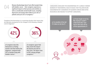

Disease disadvantage doesn't just affect people living with bladder cancer – their caregivers experience a significant impact on their persona and activities as well as considerable mental health issues, including depression and anxiety which affects up to 16% of patients and up to 23% of caregivers.<sup>2</sup>

Caregivers find themselves in a surprising situation that means they are typically unprepared for the changes in life following a bladder cancer diagnosis.<sup>2</sup>



themselves as feeling lonelier now than before the diagnosis, compared with 25% of people living with bladder cancer.<sup>2</sup>

the disease has had on their lives. The figure rises to 50% among younger caregivers.<sup>2</sup>

CAREGIVERS SHOULDER THE DISADVANTAGE OF A LARGELY HIDDEN BURDEN OF THEIR MENTAL HEALTH ISSUES THAT FOLLOW OR ARE EXACERBATED BY A DIAGNOSIS OF BLADDER CANCER AND EXTRA RESOURCES ARE NEEDED TO SUPPORT CAREGIVERS.

 I'm mindful of the toll it's taken on me too 77

**If It was tough on me too.** My employer couldn't understand why I also had to take time off for all the appointments  $\overline{J}$ 

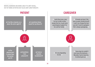MENTAL BARRIERS ARE MORE LIKELY TO LIMIT SOCIAL, OUT OF HOME ACTIVITIES BUT ALSO LIMIT LONE PURSUITS

**If is a hamster on a** wheel. No end in sight 77

 I sometimes blame myself for my illness 77

## PATIENT THE RESERVED OF THE CAREGIVER

**If I wish there was a way** for her to talk to other people like her; to get some psychological support for her and her family

**If It breaks my heart. She** was so upset, beside herself. I said I can change the bed, you don't need to apologise. She's always apologising.



**44 The** physical part is easier than the mental part 77

**44 Sometimes** I feel ashamed 77

**II** had an absolute breakdown 77

If It's very degrading for her

 Some days he couldn't even leave the bedroom… Mentally I had to help him, he almost gave up 77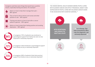Caregivers said there were things that would have a positive impact, especially training and advice. For example:<sup>2</sup>



Advice on how to help them manage their pain –<br>TO BE ASSOCIATED WITH SHORTER SURVIVAL.<sup>24</sup> 88% agreed



Tips on how to talk to doctors and nurses and what question to ask – 86% agreed



Training and advice on how to look after a cancer patient in general – 85% agreed



Advice on how to keep them feeling positive and avoiding depression – 85% agreed



extremely depressed of caregivers (74% of patients) see emotional or the contract of the caregivers (74% of patients) see emotional or psychological support from family was seen as very important or extremely important



of caregivers rated emotional or psychological support from friends as very or extremely important



of caregivers (69% of patients) think that practical support from family is very or extremely important<sup>2</sup> THE HIDDEN MENTAL HEALTH BURDEN AMONG PEOPLE LIVING WITH BLADDER CANCER CAN AFFECT PROGNOSIS: ANXIETY AND DEPRESSION IN PEOPLE LIVING WITH BLADDER CANCER SEEMS



 I'm in therapy. That helps tremendously. When I was first diagnosed, I got



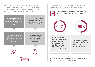SUBSTANTIAL SELF-STIGMA HAS A HUGE IMPACT ON MENTAL HEALTH, FREQUENTLY LEADING TO OR BEING COMBINED WITH DEPRESSION AND ANXIETY, MEANING MANY PATIENTS DO NOT WANT TO PARTICIPATE IN EVERYDAY ACTIVITIES.<sup>2</sup>

**If I** wish there was a way for her talk to other people like her; to get some psychological support for her and for her family 77

 More than half of us (57%) want the chance to talk to other patients – I think this is extremely important

 $\{$  ( $\{$  l think most of us (61%) feel that the opportunity to talk to other people living with bladder cancer is extremely important 77

I also would really like access to emotional or psychological support at the time and after my cystectomy

#### CAREGIVERS MAY FACE THE 'HIDDEN DISADVANTAGE' OF BEING CONTINUOUSLY VIGILANT FOR SIGNS OF RECURRENCE.2

| _______<br>۰ |
|--------------|
| _______      |
| ______       |
|              |

Caregivers may recognise changes that the person with bladder cancer either does not recognise or want to discuss.<sup>2</sup>





of caregivers are less likely to do one or more activities than before diagnosis and more caregivers than people living with bladder cancer feel lonely and isolated<sup>2</sup>

are less likely to go out in the evening and 77% are less likely to leave their home for a few days<sup>2</sup>

In particular, they were less likely to take part in activities that involved: moderate to strenuous activity (61%); leaving home for several days (77%), or getting changed (77%)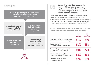**If I** have recognised changes in the person I care for, but he/she does not recognise these changes and does not want to discuss them  $\overline{J}$ 

**If I do believe that many of** us caregivers suffer from mental health issues  $rr$ 

**II** find it uncomfortable to deal with – it's so personal 77

**II** am much less likely to do the activities **I** was doing before the diagnosis **77** 

*<u>K</u>* Am I interfering? I don't want to appear patronising. It's maintaining the balance  $\sqrt{ }$ 

CAREGIVER QUOTES CAREGIVER AND THE SOME PEOPLE LIVING SOME PEOPLE LIVING WITH bladder cancer use the experience of living with bladder cancer as an opportunity for personal growth and to strengthen relationships with significant others, which can help overcome the disease disadvantage<sup>2</sup>

> Education and support can help people living with bladder cancer regain control and bolster theirs and caregivers' resilience.2

 $\blacktriangleright$  Information could help people living with bladder cancer take part in discussions and reduce physical needs after cystectomy (e.g. dealing with urinary diversion, fatigue and bowel problems) $25$ 

#### PATIENTS AND CAREGIVERS RATED CHANGES IN SUPPORT AS EXTREMELY OR VERY IMPORTANT AND WOULD LIKE TO SEE THE FOLLOWING:2

|                                                                                    | <b>PATIENTS</b> | <b>CAREGIVERS</b> |
|------------------------------------------------------------------------------------|-----------------|-------------------|
| Support and advice for caregivers (e.g.<br>how to care for patients after surgery) | 61%             | 78%               |
| Type of information<br>(e.g. patient-friendly language, etc)                       | 61%             | 63%               |
| Emotional / psychological support<br>(e.g. counselling after surgery)              | 59%             | 77%               |
| Information access (e.g. how to<br>understand the stage of bladder cancer)         | 58%             | 66%               |
| Advice services (e.g. where<br>to join a patient forum)                            | 57%             | 65%               |

05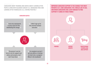CAREGIVERS WANT TRAINING AND ADVICE ABOUT LOOKING AFTER PEOPLE LIVING WITH BLADDER CANCER (E.G. MANAGING PAIN) AND LOOKING AFTER THEMSELVES (E.G. STAYING POSITIVE).<sup>2</sup>

#### CAREGIVER QUOTES

II was very unprepared in every sense for the debilitating life change

I didn't sign up for this and feel isolated and alone



 The person I care for turns to me for support and advice and answers, but I don't have them

**As caregivers we don't** get any advice or training on how to be a caregiver. Where's the handbook?

IMPROVED CAREGIVER SUPPORT IS THE CHANGE THAT MOST PATIENTS (61%) AND CAREGIVERS (78%) WOULD LIKE TO SEE. AND WHEN CAREGIVERS ARE LUCKY ENOUGH TO FIND SUPPORT IT COMES IN THREE FORMS.<sup>2</sup>

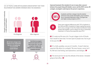#### 52% OF PEOPLE LIVING WITH BLADDER CANCER REPORT THAT THEIR RELATIONSHIP HAS GROWN STRONGER SINCE THE DIAGNOSIS.2



**If** I do feel a change in the balance of our relationship but also a strengthening of our bond 77 OLDER PATIENT

**If I feel that my caregiver** resents the impact this has had on their lives. I've seen a negative change in the dynamic of our relationship. YOUNGER PATIENT



Improved teamwork (the standard of care in many other cancers) between the people living with bladder cancer and the HCPs (nurse, GP, urologist, oncologist) could improve the person's experience.



of patients said that a change in how the medical profession treats people with bladder cancer would be very or extremely important to them. The figure was even higher among caregivers at 67%.<sup>2</sup>



There were regional differences with 72% of patients in the USA and 69% of patients in Spain saying they would like to see a change in how the medical profession treats people with bladder cancer rating it as very or extremely important. In France the proportion was 47%.<sup>2</sup>

**If** It's made my life more rich. I've got a bigger circle of friends that I would've never had. I'm more open to people now. You've got to live your life. **77** 

**If** It's a hello, goodbye, see you in 3 months . It wasn't what we expected. My advice to a urologist ? Be more human, cancer isn't flu. We had a bad feeling, bad explanations, bad dialogue.

**44** The worst part for me was the attitude of the doctor. I dreaded going to that office.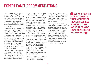## <span id="page-23-0"></span>EXPERT PANEL RECOMMENDATIONS

Those surveyed were the patients and the caregivers living with bladder cancer, allowing us to gain true insights into their experiences and their journey and as such these findings are of high relevance to those currently living with bladder cancer whether they are a patient or a caregiver.

Patients and caregivers clearly feel disadvantaged by their bladder cancer in terms of the impact on them physically and mentally. More needs to be made available to patients in the form of information and psychological support to help them combat feelings of shame, being judged or blamed, and the feeling that friends and family might be embarrassed by the cancer. This is particularly the case for younger patients.

Caregivers must not be forgotten when managing patients with bladder cancer. A diagnosis has a significant impact on the physical and mental wellbeing of caregivers, who also seem to observe more

acutely the effect of the diagnosis on the people they are caring for.

While most patients and caregivers thought healthcare professionals were broadly sympathetic there is still work to be done to improve their relationship with patients and caregivers, particularly in terms of support and advice provided. For example, patients and caregivers would value counselling after diagnosis, advice on how to use and care for a stoma/ostomy bag, emotional or psychological support at the time and after a cystectomy.

Support from the point of diagnosis through the entire treatment journey is absolutely key and could be a way to overcome disease disadvantage. This support must come from doctors, nurses, friends, family and peers, but all these groups need the education and training to understand how best to provide this support.

Professional counselling, including easy access and education around this is something desperately

needed by both patients and caregivers and this may in turn help these two groups with the mental health impact bladder cancer seems to have on many patients and caregivers.

Improving access to tools to help patients and caregivers understand their treatment journey and what the future may hold is fundamental to improving the treatment journey and the experience. Hopefully through urgent interventions, the provision of support from the outset and education to all groups, patients and caregivers will feel encouraged to take part in the activities of everyday life that the rest of us take for granted.

**SUPPORT FROM THE** POINT OF DIAGNOSIS THROUGH THE ENTIRE TREATMENT JOURNEY IS ABSOLUTELY KEY AND COULD BE A WAY TO OVERCOME DISEASE **DISADVANTAGE**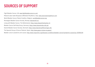## <span id="page-24-0"></span>SOURCES OF SUPPORT

Fight Bladder Cancer, UK: [www.fightbladdercancer.co.uk/](http://www.fightbladdercancer.co.uk/) PAzienti LIberi dalle Neoplasie UROteliali (PaLiNUro), Italy: [www.associazionepalinuro.com](http://www.associazionepalinuro.com) World Bladder Cancer Patient Coalition, Belgium: [worldbladdercancer.org](http://worldbladdercancer.org) Norwegian Bladder Cancer Society, Norway: [blaerekreft.no/](http://blaerekreft.no/) Living with Bladder Cancer, The Netherlands: [https://www.blaasofnierkanker.nl/](https://www.blaasofnierkanker.nl/ 
)  Bladder Cancer Self-Help Group, Germany: <https://www.blasenkrebs-shb.de/> Danish Bladder Cancer Society, Denmark: [https://www.blaerekraeftforeningen.dk/](https://www.blaerekraeftforeningen.dk/ 
)  The Spanish Group of Cancer Patients, Spain: [http://www.gepac.es/que-es-gepac/](http://www.gepac.es/que-es-gepac/  
)  Bladder cancer symptoms and causes:<http://www.mayoclinic.org/diseases-conditions/bladder-cancer/symptoms-causes/syc-20356104>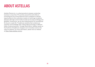## <span id="page-25-0"></span>ABOUT ASTELLAS

Astellas Pharma Inc. is a pharmaceutical company conducting business in more than 70 countries around the world. We are promoting the Focus Area Approach that is designed to identify opportunities for the continuous creation of new drugs to address diseases with high unmet medical needs by focusing on Biology and Modality. Furthermore, we are also looking beyond our foundational Rx focus to create Rx+® healthcare solutions that combine our expertise and knowledge with cutting-edge technology in different fields of external partners. Through these efforts, Astellas stands on the forefront of healthcare change to turn innovative science into value for patients. For more information, please visit our website at [https://www.astellas.com/en.](https://www.astellas.com/en)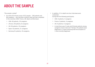## <span id="page-26-0"></span>ABOUT THE SAMPLE

#### \*The sample in detail2

- An online 20-minute survey of 312 people  $-$  226 patients and 86 caregivers – who had been invited to take part was completed in five countries (USA, France, UK, Spain and Germany).
	- $\triangleright$  USA: 43 patients, 19 caregivers
	- $\triangleright$  oFrance: 30 patients, 8 caregivers
	- $\blacktriangleright$  UK: 50 patients, 19 caregivers
	- $\blacktriangleright$  Spain: 52 patients, 21 caregivers
	- **F** Germany: 51 patients, 19 caregivers.
- $\blacktriangleright$  In addition, 21 in-depth one-hour interviews were conducted during with the following participants:
	- $\blacktriangleright$  USA: 4 patients, 3 caregivers
	- $\blacktriangleright$  France: 3 patients, 3 caregivers
	- $\blacktriangleright$  UK: 4 patients, 4 caregivers
	- $\blacktriangleright$  In total there were 5 male and 6 female patients among caregivers 3 were male and 7 female. The patients were diagnosed 2–4 years previously with the exception of 1 more recently diagnosed.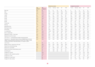|                                                                                                                                                                                                             |                   |                     | <b>Patients by market</b> |         |       |       |            | <b>Caregivers by market</b> |               |       |       |            |
|-------------------------------------------------------------------------------------------------------------------------------------------------------------------------------------------------------------|-------------------|---------------------|---------------------------|---------|-------|-------|------------|-----------------------------|---------------|-------|-------|------------|
|                                                                                                                                                                                                             | "All<br>patients" | "All<br>caregivers" | France                    | Germany | Spain | UK    | <b>USA</b> | France                      | Germany Spain |       | UK    | <b>USA</b> |
| Base size                                                                                                                                                                                                   | 226               | 86                  | 30                        | 51      | 52    | 50    | 43         | 8                           | 19            | 21    | 19    | 19         |
| Male                                                                                                                                                                                                        | 70%               | 59%                 | 60%                       | 77%     | 64%   | 66%   | 79%        | 63%                         | 68%           | 67%   | 42%   | 58%        |
| Female                                                                                                                                                                                                      | 31%               | 41%                 | 40%                       | 24%     | 37%   | 34%   | 21%        | 38%                         | 32%           | 33%   | 58%   | 42%        |
| 18-29                                                                                                                                                                                                       | 4%                | 17%                 | $0\%$                     | 2%      | 12%   | 2%    | $0\%$      | $0\%$                       | 21%           | 14%   | 16%   | 26%        |
| 30-39                                                                                                                                                                                                       | 21%               | 36%                 | 40%                       | 26%     | 21%   | 16%   | 9%         | 25%                         | 37%           | 38%   | 32%   | 42%        |
| 40-49                                                                                                                                                                                                       | 25%               | 34%                 | 13%                       | 20%     | 42%   | 18%   | 26%        | 38%                         | 26%           | 38%   | 37%   | 32%        |
| 50-59                                                                                                                                                                                                       | 29%               | 8%                  | 37%                       | 14%     | 10%   | 56%   | 35%        | 38%                         | 11%           | 5%    | 5%    | 0%         |
| 60-69                                                                                                                                                                                                       | 14%               | 4%                  | 7%                        | 22%     | 14%   | 4%    | 21%        | $0\%$                       | 5%            | 5%    | 5%    | $0\%$      |
| 70 and over                                                                                                                                                                                                 | 6%                | 6%                  | $6\%$                     | 6%      | 6%    | 6%    | 6%         | $6\%$                       | 6%            | 6%    | 6%    | 6%         |
| Working                                                                                                                                                                                                     | 77%               | 91%                 | 77%                       | 65%     | 83%   | 84%   | 77%        | 75%                         | 90%           | 91%   | 95%   | 95%        |
| Working full-time                                                                                                                                                                                           | 73%               | 83%                 | 77%                       | 63%     | 75%   | 80%   | 72%        | 63%                         | 84%           | 76%   | 84%   | 95%        |
| Working part-time                                                                                                                                                                                           | 4%                | 8%                  | $0\%$                     | 2%      | 8%    | 4%    | 5%         | 13%                         | 5%            | 14%   | 11%   | 0%         |
| Not working                                                                                                                                                                                                 | 23%               | 8%                  | 23%                       | 35%     | 17%   | 16%   | 23%        | 25%                         | 11%           | 5%    | 5%    | 5%         |
| In a relationship                                                                                                                                                                                           | 93%               | 78%                 | 100%                      | 90%     | 92%   | 92%   | 93%        | 88%                         | 74%           | 95%   | 74%   | 63%        |
| Not in a relationship                                                                                                                                                                                       | 7%                | 22%                 | $0\%$                     | 10%     | 8%    | 8%    | 7%         | 13%                         | 26%           | 5%    | 26%   | 37%        |
| Diagnosed 3 months - 2 years ago                                                                                                                                                                            | 24%               | 45%                 | 40%                       | 33%     | 15%   | 20%   | 19%        | 38%                         | 63%           | 62%   | 37%   | 21%        |
| Diagnosed more than 2 years                                                                                                                                                                                 | 76%               | 55%                 | 60%                       | 67%     | 85%   | 80%   | 81%        | 63%                         | 37%           | 38%   | 63%   | 79%        |
| The cancer is Local/limited/early stage/contained/operable                                                                                                                                                  | 46%               | 62%                 | 67%                       | 51%     | 52%   | 20%   | 51%        | 63%                         | 47%           | 62%   | 53%   | 84%        |
| The cancer is Spread/Non Muscle Invasive (NMIBC)/Muscle Invasive<br>(MIBC)/ metastasized/advanced/systemic/distant/ later stage/no longer<br>curable/unresectable/inoperable/surgery is no longer an option | 52%               | 35%                 | 33%                       | 45%     | 44%   | 80%   | 49%        | 38%                         | 47%           | 38%   | 37%   | 16%        |
| I don't know                                                                                                                                                                                                | 2%                | 4%                  | $0\%$                     | 4%      | 4%    | $0\%$ | $0\%$      | $0\%$                       | 5%            | $0\%$ | 11%   | 0%         |
| Bladder removal / cystectomy in the past                                                                                                                                                                    | 39%               | 36%                 | 40%                       | 53%     | 50%   | 18%   | 30%        | 13%                         | 37%           | 67%   | 21%   | 26%        |
| Patient has a stoma/ostomy bag                                                                                                                                                                              | 16%               | 22%                 | 33%                       | 8%      | 27%   | 14%   | 5%         | 13%                         | 26%           | 33%   | 16%   | 16%        |
| Patient has a neo bladder                                                                                                                                                                                   | 14%               | 9%                  | 7%                        | 24%     | 15%   | 4%    | 16%        | $0\%$                       | $0\%$         | 24%   | $5%$  | 11%        |
| Patient has an Illeal conduit/Indiana pouch                                                                                                                                                                 | 4%                | 5%                  | $0\%$                     | 12%     | $0\%$ | $0\%$ | 7%         | $0\%$                       | 11%           | 10%   | $0\%$ | $0\%$      |
| Something else                                                                                                                                                                                              | 4%                | $0\%$               | $0\%$                     | 10%     | 8%    | $0\%$ | 2%         | $0\%$                       | $0\%$         | $0\%$ | $0\%$ | $0\%$      |
| Caregiver for a parent                                                                                                                                                                                      |                   | 55%                 |                           |         |       |       |            | 63%                         | 53%           | 71%   | 37%   | 53%        |
| Caregiver for wife, husband or partner                                                                                                                                                                      |                   | 29%                 |                           |         |       |       |            | 38%                         | 32%           | 14%   | 47%   | 21%        |
| Caregiver for a child                                                                                                                                                                                       |                   | 2%                  |                           |         |       |       |            | $0\%$                       | $0\%$         | $0\%$ | 11%   | $0\%$      |
| Caregiver for a close friend                                                                                                                                                                                |                   | 8%                  |                           |         |       |       |            | $0\%$                       | 5%            | 5%    | $0\%$ | 26%        |
| Caregiver for other relative                                                                                                                                                                                |                   | 6%                  |                           |         |       |       |            | 0%                          | 11%           | 10%   | 5%    | $0\%$      |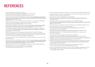## <span id="page-28-0"></span>REFERENCES

- 1. Cancer.net. Bladder Cancer: Statistics. Available at: [www.cancer.net/cancer-types/bladder-cancer/statistics](http://www.cancer.net/cancer-types/bladder-cancer/statistics) Accessed April 2022.
- 2. Astellas. 2022. Disease Disadvantage: Facing Bladder Cancer. Data on file
- 3. European Commission. JRC Publications Repository. Available at: [https://publications.jrc.ec.europa.eu/](https://publications.jrc.ec.europa.eu/repository/handle/JRC101380#:~:text=In%20the%20European%20Union%20(EU,of%20all%20the%20incident%20cases) [repository/handle/JRC101380#:~:text=In%20the%20European%20Union%20\(EU,of%20all%20the%20](https://publications.jrc.ec.europa.eu/repository/handle/JRC101380#:~:text=In%20the%20European%20Union%20(EU,of%20all%20the%20incident%20cases) [incident%20cases](https://publications.jrc.ec.europa.eu/repository/handle/JRC101380#:~:text=In%20the%20European%20Union%20(EU,of%20all%20the%20incident%20cases). Accessed April 2022.
- 4. Hyldgaard JM and Jensen JB. The inequality of females in bladder cancer. Apmis 2021;129:694-699.
- 5. European Cancer Patient Coalition. Urological Cancer Prostate Cancer. Available at: <https://ecpc.org/news-events/bladder-cancer>Accessed April 2022.
- 6. Cancer Research UK. Bladder cancer statistics. Available at [https://www.cancerresearchuk.org/health](https://www.cancerresearchuk.org/health-professional/cancer-statistics/statistics-by-cancer-type/bladder-cancer)[professional/cancer-statistics/statistics-by-cancer-type/bladder-cancer](https://www.cancerresearchuk.org/health-professional/cancer-statistics/statistics-by-cancer-type/bladder-cancer). Accessed April 2022.
- 7. European Agency for Safety and Health at Work. Directive 2004/37/EC -carcinogens or mutagens at work. Available at: [https://osha.europa.eu/en/legislation/directive/directive-200437ec-carcinogens-or](https://osha.europa.eu/en/legislation/directive/directive-200437ec-carcinogens-or-mutagens-work)[mutagens-work](https://osha.europa.eu/en/legislation/directive/directive-200437ec-carcinogens-or-mutagens-work) Accessed April 2022.
- 8. Maluf FC, Cordon-Cardo C, Verbel DA, Satagopan JM, Boyle MG, Herr H, Bajorin DF. Assessing interactions between mdm-2, p53, and bcl-2 as prognostic variables in muscle-invasive bladder cancer treated with neo-adjuvant chemotherapy followed by locoregional surgical treatment. Ann Oncol. 2006 Nov;17(11):1677-86. doi: 10.1093/annonc/mdl289. Epub 2006 Sep 19.
- 9. Su H, Jiang H, Tao T et al. Hope and challenge: Precision medicine in bladder cancer. Cancer medicine 2019;8:1806-1816.
- 10. American Cancer Society. Inherited gene mutations. Available at: [https://www.cancer.org/cancer/bladder](https://www.cancer.org/cancer/bladder-cancer/causes-risks-prevention/what-causes.html#:~:text=Some%20people%20inherit%20gene%20changes,major%20cause%20of%20this%20disease)[cancer/causes-risks-prevention/what-causes.html#:~:text=Some%20people%20inherit%20gene%20](https://www.cancer.org/cancer/bladder-cancer/causes-risks-prevention/what-causes.html#:~:text=Some%20people%20inherit%20gene%20changes,major%20cause%20of%20this%20disease) [changes,major%20cause%20of%20this%20disease.](https://www.cancer.org/cancer/bladder-cancer/causes-risks-prevention/what-causes.html#:~:text=Some%20people%20inherit%20gene%20changes,major%20cause%20of%20this%20disease) Accessed April 2022.
- 11. Saginala K, Barsouk A, Aluru JS, et al. Epidemiology of Bladder Cancer. Med Sci (Basel) 2020;8(1):15.
- 12. Action Bladder Cancer UK. Symptoms of Bladder Cancer. Available at: [https://actionbladdercanceruk.org/symptoms/.](https://actionbladdercanceruk.org/symptoms/) Accessed April 2022.
- 13. European Association of Urology. 2021. Guidelines on non-Muscle-invasive and Metastatic Bladder Cancer.
- 14. Ghandour R, Singla N, and Lotan Y. Treatment options and outcomes in nonmetastatic muscle invasive bladder cancer. Trends in Cancer 2019;5:426-439.
- 15. American Cancer Society. Tests for Bladder Cancer. Available at: <https://www.cancer.org/cancer/bladder-cancer/detection-diagnosis-staging/how-diagnosed.html> Accessed April 2022.
- 16. Cancer Research UK: Trans urethral removal of bladder tumour (TURBT). Available at: [https://www.cancerresearchuk.org/about-cancer/bladder-cancer/treatment/early/trans-urethral-removal](https://www.cancerresearchuk.org/about-cancer/bladder-cancer/treatment/early/trans-urethral-removal-tumour)[tumour.](https://www.cancerresearchuk.org/about-cancer/bladder-cancer/treatment/early/trans-urethral-removal-tumour) Accessed April 2022
- 17. European Association of Urology. 2021. Guidelines on Muscle-invasive and Metastatic Bladder Cancer.
- 18. Cancer.net. Bladder Cancer: Types of Treatment. Available at: <https://www.cancer.net/cancer-types/bladder-cancer/types-treatment> Accessed April 2022.
- 19. Cancer Research UK. Survival. Available at: <https://www.cancerresearchuk.org/about-cancer/bladder-cancer/survival> Accessed April 2022.
- 20. Hollenbeck BK, Dunn RL, Ye Z, et al. Delays in diagnosis and bladder cancer mortality. Cancer 2010;116(22):5235-5242.
- 21. American Cancer Society. Key Statistics for Bladder Cancer. Available at: <https://www.cancer.org/cancer/bladder-cancer/about/key-statistics.html> Accessed April 2022.
- 22. Cx Bladder. Can Recurrent UTI Symptoms Be a Sign of Cancer?. Available at: [https://www.cxbladder.com/](https://www.cxbladder.com/us/blog/can-recurrent-uti-symptoms-be-a-sign-of-cancer/) [us/blog/can-recurrent-uti-symptoms-be-a-sign-of-cancer/.](https://www.cxbladder.com/us/blog/can-recurrent-uti-symptoms-be-a-sign-of-cancer/) Accessed April 2022.
- 23. Memorial Sloan Kettering Cancer Center. About Your Bladder Surgery With an Ileal Conduit (Urostomy). Available at: [https://www.mskcc.org/cancer-care/patient-education/about-your-bladder-surgery-ileal](https://www.mskcc.org/cancer-care/patient-education/about-your-bladder-surgery-ileal-conduit-urostomy)[conduit-urostomy.](https://www.mskcc.org/cancer-care/patient-education/about-your-bladder-surgery-ileal-conduit-urostomy) Accessed April 2022.
- 24. Pham H, Torres H and Sharma P. Mental health implications in bladder cancer patients: A review. Urologic Oncology: Seminars and Original Investigations. 2019.
- 25. De Nunzio C, Giannatempo P, Passalacqua R, Fiorini E, Luccarini I, Brigido A. Epidemiology and unmet needs of bladder cancer in Italy: a critical review. Minerva Urol Nefrol. 2020 Feb;72(1):1-12. doi: 10.23736/S0393-2249.19.03498-2.